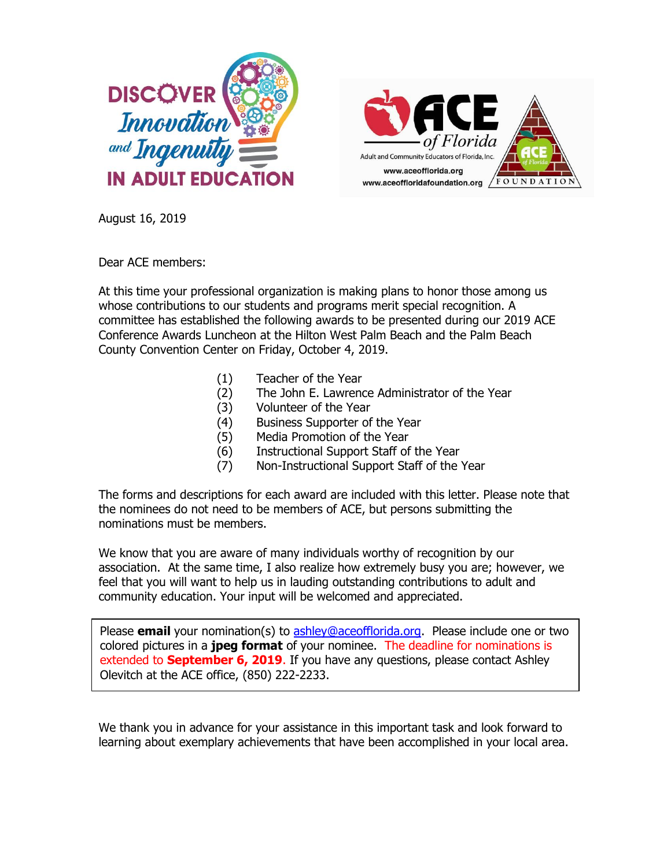



August 16, 2019

Dear ACE members:

At this time your professional organization is making plans to honor those among us whose contributions to our students and programs merit special recognition. A committee has established the following awards to be presented during our 2019 ACE Conference Awards Luncheon at the Hilton West Palm Beach and the Palm Beach County Convention Center on Friday, October 4, 2019.

- (1) Teacher of the Year
- (2) The John E. Lawrence Administrator of the Year
- (3) Volunteer of the Year
- (4) Business Supporter of the Year
- (5) Media Promotion of the Year
- (6) Instructional Support Staff of the Year
- (7) Non-Instructional Support Staff of the Year

The forms and descriptions for each award are included with this letter. Please note that the nominees do not need to be members of ACE, but persons submitting the nominations must be members.

We know that you are aware of many individuals worthy of recognition by our association. At the same time, I also realize how extremely busy you are; however, we feel that you will want to help us in lauding outstanding contributions to adult and community education. Your input will be welcomed and appreciated.

Please **email** your nomination(s) to **ashley@aceofflorida.org**. Please include one or two colored pictures in a **jpeg format** of your nominee. The deadline for nominations is extended to **September 6, 2019**. If you have any questions, please contact Ashley Olevitch at the ACE office, (850) 222-2233.

We thank you in advance for your assistance in this important task and look forward to learning about exemplary achievements that have been accomplished in your local area.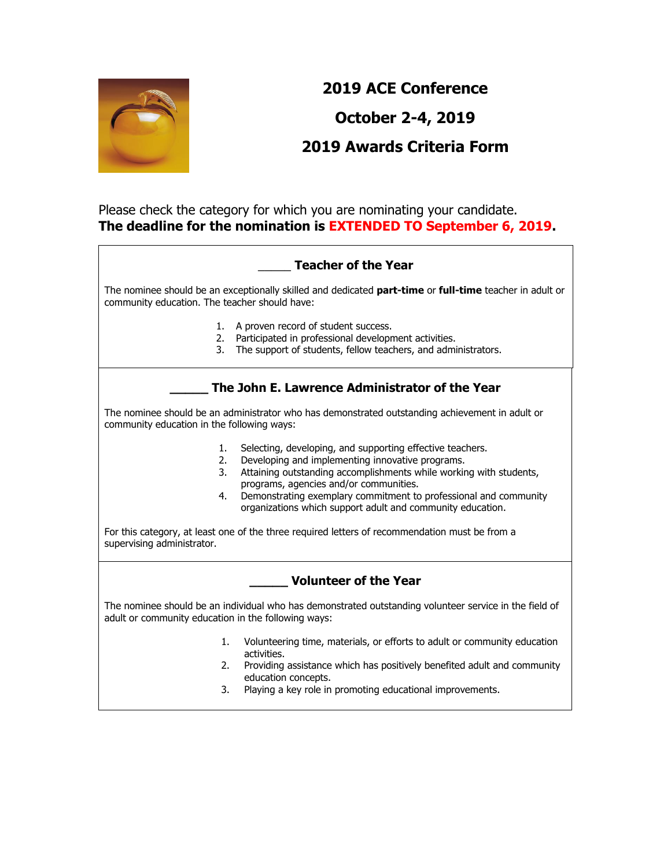

# **2019 ACE Conference October 2-4, 2019 2019 Awards Criteria Form**

### Please check the category for which you are nominating your candidate. **The deadline for the nomination is EXTENDED TO September 6, 2019.**

## \_\_\_\_\_ **Teacher of the Year**

The nominee should be an exceptionally skilled and dedicated **part-time** or **full-time** teacher in adult or community education. The teacher should have:

- 1. A proven record of student success.
- 2. Participated in professional development activities.
- 3. The support of students, fellow teachers, and administrators.

## **\_\_\_\_\_ The John E. Lawrence Administrator of the Year**

The nominee should be an administrator who has demonstrated outstanding achievement in adult or community education in the following ways:

- 1. Selecting, developing, and supporting effective teachers.
- 2. Developing and implementing innovative programs.
- 3. Attaining outstanding accomplishments while working with students, programs, agencies and/or communities.
- 4. Demonstrating exemplary commitment to professional and community organizations which support adult and community education.

For this category, at least one of the three required letters of recommendation must be from a supervising administrator.

#### **\_\_\_\_\_ Volunteer of the Year**

The nominee should be an individual who has demonstrated outstanding volunteer service in the field of adult or community education in the following ways:

- 1. Volunteering time, materials, or efforts to adult or community education activities.
- 2. Providing assistance which has positively benefited adult and community education concepts.
- 3. Playing a key role in promoting educational improvements.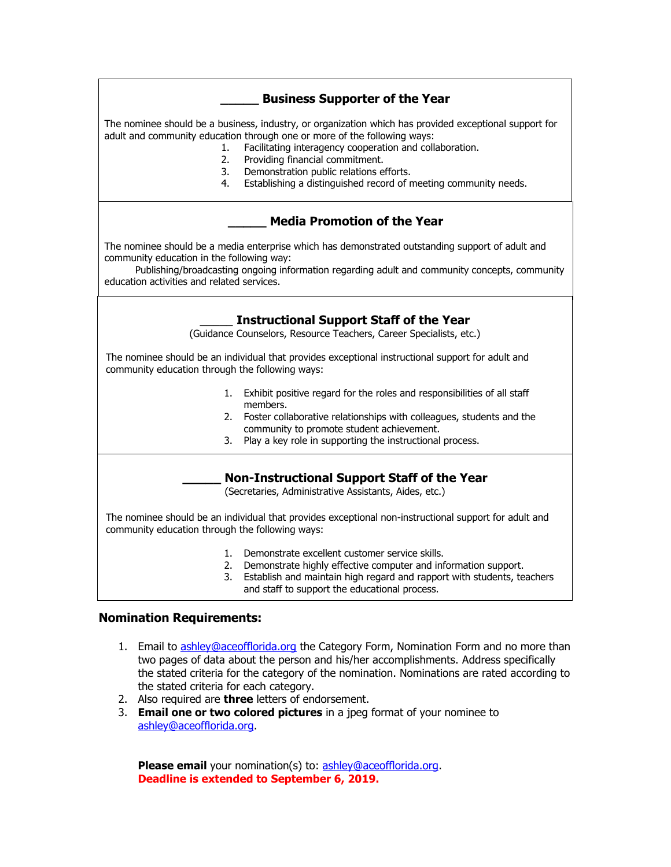### **\_\_\_\_\_ Business Supporter of the Year**

The nominee should be a business, industry, or organization which has provided exceptional support for adult and community education through one or more of the following ways:

- 1. Facilitating interagency cooperation and collaboration.
- 2. Providing financial commitment.
- 3. Demonstration public relations efforts.
- 4. Establishing a distinguished record of meeting community needs.

#### **\_\_\_\_\_ Media Promotion of the Year**

The nominee should be a media enterprise which has demonstrated outstanding support of adult and community education in the following way:

 Publishing/broadcasting ongoing information regarding adult and community concepts, community education activities and related services.

#### \_\_\_\_\_ **Instructional Support Staff of the Year**

**2013 ACE Conference** (Guidance Counselors, Resource Teachers, Career Specialists, etc.)

The nominee should be an individual that provides exceptional instructional support for adult and community education through the following ways:

- 1. Exhibit positive regard for the roles and responsibilities of all staff members.
- 2. Foster collaborative relationships with colleagues, students and the community to promote student achievement.
- 3. Play a key role in supporting the instructional process.

#### **\_\_\_\_\_ Non-Instructional Support Staff of the Year**

(Secretaries, Administrative Assistants, Aides, etc.)

The nominee should be an individual that provides exceptional non-instructional support for adult and community education through the following ways:

- 1. Demonstrate excellent customer service skills.
- 2. Demonstrate highly effective computer and information support.
- 3. Establish and maintain high regard and rapport with students, teachers and staff to support the educational process.

#### **Nomination Requirements:**

- 1. Email to [ashley@aceofflorida.org](mailto:ashley@aceofflorida.org) the Category Form, Nomination Form and no more than two pages of data about the person and his/her accomplishments. Address specifically the stated criteria for the category of the nomination. Nominations are rated according to the stated criteria for each category.
- 2. Also required are **three** letters of endorsement.
- 3. **Email one or two colored pictures** in a jpeg format of your nominee to [ashley@aceofflorida.org.](mailto:ashley@aceofflorida.org)

**Please email** your nomination(s) to: [ashley@aceofflorida.org.](mailto:ashley@aceofflorida.org) **Deadline is extended to September 6, 2019.**